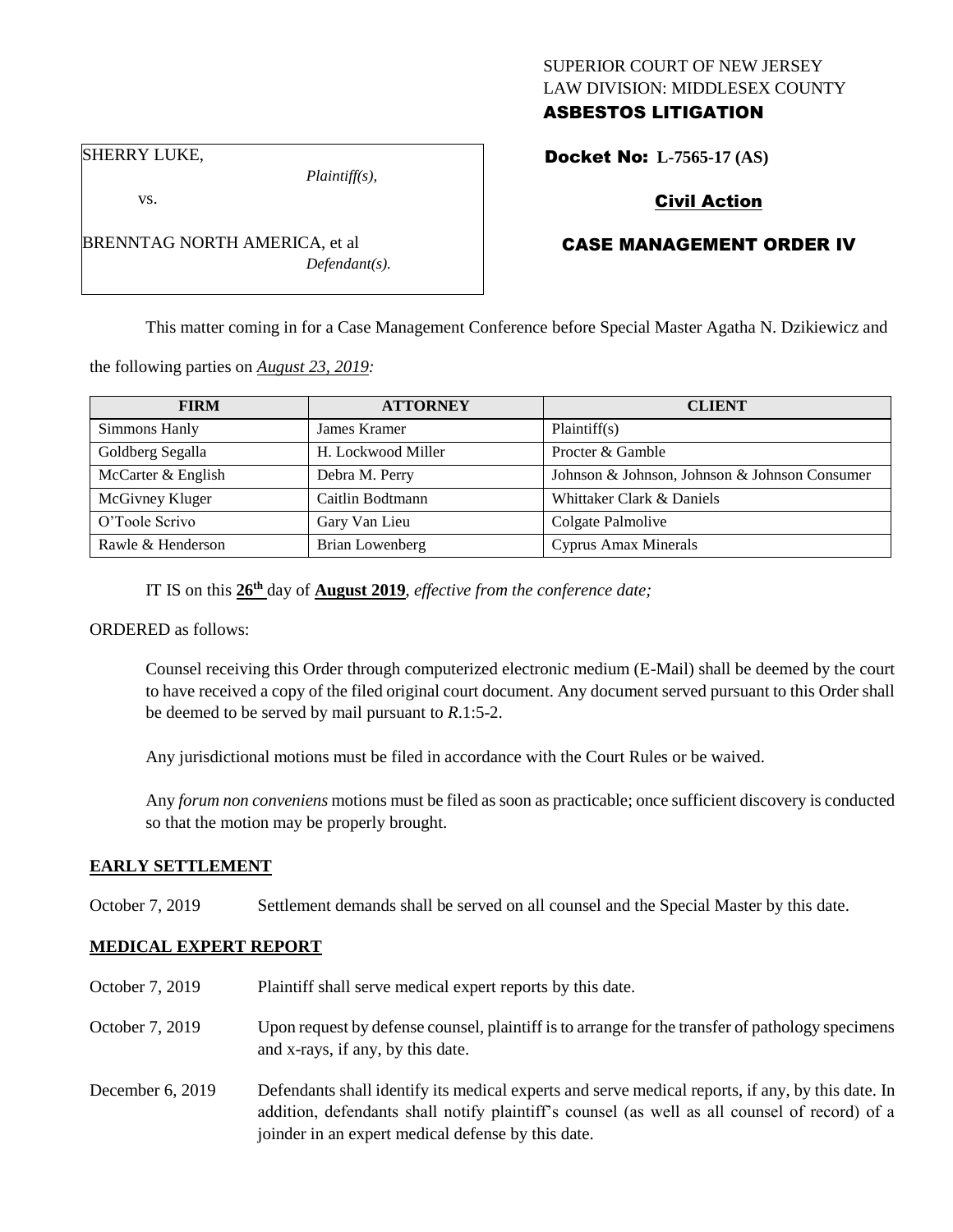# SUPERIOR COURT OF NEW JERSEY LAW DIVISION: MIDDLESEX COUNTY ASBESTOS LITIGATION

SHERRY LUKE,

vs.

*Plaintiff(s),*

*Defendant(s).*

Civil Action

Docket No: **L-7565-17 (AS)** 

# CASE MANAGEMENT ORDER IV

This matter coming in for a Case Management Conference before Special Master Agatha N. Dzikiewicz and

the following parties on *August 23, 2019:*

BRENNTAG NORTH AMERICA, et al

| <b>FIRM</b>        | <b>ATTORNEY</b>        | <b>CLIENT</b>                                 |
|--------------------|------------------------|-----------------------------------------------|
| Simmons Hanly      | James Kramer           | Plaintiff(s)                                  |
| Goldberg Segalla   | H. Lockwood Miller     | Procter & Gamble                              |
| McCarter & English | Debra M. Perry         | Johnson & Johnson, Johnson & Johnson Consumer |
| McGivney Kluger    | Caitlin Bodtmann       | Whittaker Clark & Daniels                     |
| O'Toole Scrivo     | Gary Van Lieu          | Colgate Palmolive                             |
| Rawle & Henderson  | <b>Brian Lowenberg</b> | <b>Cyprus Amax Minerals</b>                   |

IT IS on this **26th** day of **August 2019**, *effective from the conference date;*

ORDERED as follows:

Counsel receiving this Order through computerized electronic medium (E-Mail) shall be deemed by the court to have received a copy of the filed original court document. Any document served pursuant to this Order shall be deemed to be served by mail pursuant to *R*.1:5-2.

Any jurisdictional motions must be filed in accordance with the Court Rules or be waived.

Any *forum non conveniens* motions must be filed as soon as practicable; once sufficient discovery is conducted so that the motion may be properly brought.

# **EARLY SETTLEMENT**

October 7, 2019 Settlement demands shall be served on all counsel and the Special Master by this date.

# **MEDICAL EXPERT REPORT**

| October 7, 2019    | Plaintiff shall serve medical expert reports by this date.                                                                                                                                                                                               |
|--------------------|----------------------------------------------------------------------------------------------------------------------------------------------------------------------------------------------------------------------------------------------------------|
| October 7, 2019    | Upon request by defense counsel, plaintiff is to arrange for the transfer of pathology specimens<br>and x-rays, if any, by this date.                                                                                                                    |
| December $6, 2019$ | Defendants shall identify its medical experts and serve medical reports, if any, by this date. In<br>addition, defendants shall notify plaintiff's counsel (as well as all counsel of record) of a<br>joinder in an expert medical defense by this date. |